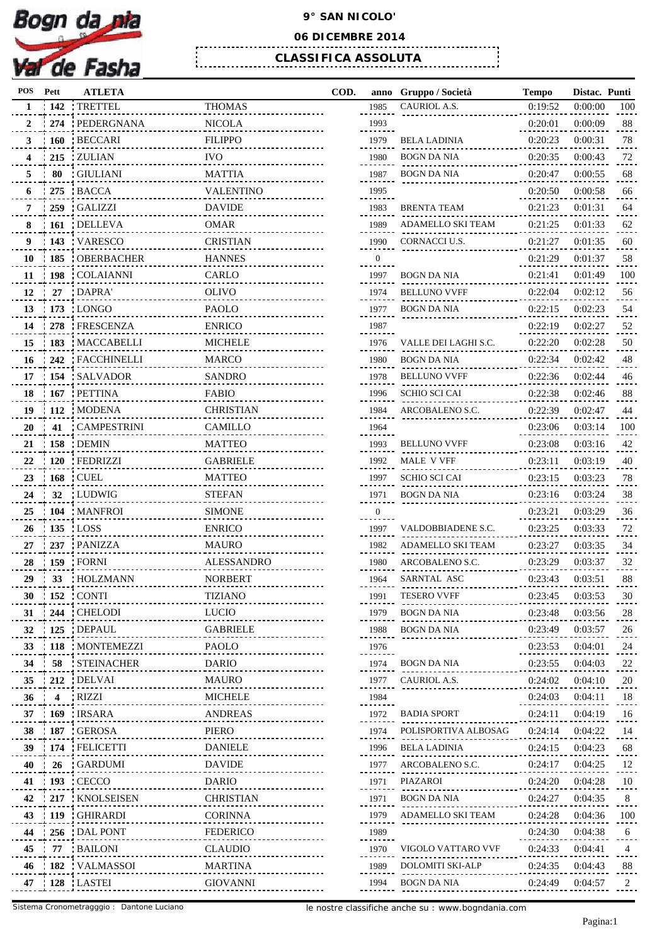

## **9° SAN NICOLO'**

## **06 DICEMBRE 2014**

**CLASSIFICA ASSOLUTA** 

| <b>POS</b> |                | Pett  | <b>ATLETA</b>                    |                   | COD. |                | anno Gruppo / Società | <b>Tempo</b> | Distac. Punti |     |
|------------|----------------|-------|----------------------------------|-------------------|------|----------------|-----------------------|--------------|---------------|-----|
|            | 1              | : 142 | TRETTEL                          | <b>THOMAS</b>     |      | 1985           | CAURIOL A.S.          | 0:19:52      | 0:00:00       | 100 |
|            | $\mathbf{2}$   |       | 274 : PEDERGNANA                 | <b>NICOLA</b>     |      | 1993           |                       | 0:20:01      | 0:00:09       | 88  |
|            | 3 <sup>1</sup> |       | 160 BECCARI                      | <b>FILIPPO</b>    |      | 1979           | <b>BELA LADINIA</b>   | 0:20:23      | 0:00:31       | 78  |
|            |                |       | 215 ZULIAN                       | <b>IVO</b>        |      | 1980           | BOGN DA NIA           | 0:20:35      | 0:00:43       | 72  |
|            | 5.             | 80    | : GIULIANI                       | <b>MATTIA</b>     |      | 1987           | BOGN DA NIA           | 0:20:47      | 0:00:55       | 68  |
|            |                |       | $275$ BACCA                      | <b>VALENTINO</b>  |      | 1995           |                       | 0:20:50      | 0:00:58       | 66  |
|            | 7              |       | 259 GALIZZI                      | <b>DAVIDE</b>     |      | 1983           | <b>BRENTA TEAM</b>    | 0:21:23      | 0:01:31       | 64  |
|            |                |       | 161 : DELLEVA                    | <b>OMAR</b>       |      | 1989           | ADAMELLO SKI TEAM     | 0:21:25      | 0:01:33       | 62  |
|            | 9              |       | : 143 VARESCO                    | <b>CRISTIAN</b>   |      | 1990           | CORNACCI U.S.         | 0:21:27      | 0:01:35       | 60  |
|            |                |       | 10 : 185 : OBERBACHER            | <b>HANNES</b>     |      | $\overline{0}$ |                       | 0:21:29      | 0:01:37       | 58  |
|            |                |       | 11   198   COLAIANNI             | CARLO             |      | 1997           | BOGN DA NIA           | 0:21:41      | 0:01:49       | 100 |
|            |                |       | 12 27 DAPRA                      | <b>OLIVO</b>      |      | 1974           | <b>BELLUNO VVFF</b>   | 0:22:04      | 0:02:12       | 56  |
|            |                |       | 13 : 173 : LONGO                 | PAOLO             |      | 1977           | <b>BOGN DA NIA</b>    | 0:22:15      | 0:02:23       | 54  |
|            |                |       | 14 : 278 : FRESCENZA             | <b>ENRICO</b>     |      | 1987           |                       | 0:22:19      | 0:02:27       | 52  |
|            | 15             |       | 183 MACCABELLI                   | <b>MICHELE</b>    |      | 1976           | VALLE DEI LAGHI S.C.  | 0:22:20      | 0:02:28       | 50  |
|            |                |       | 16   242   FACCHINELLI           | <b>MARCO</b>      |      | 1980           | BOGN DA NIA           | 0:22:34      | 0:02:42       | 48  |
|            |                |       | 17 : 154 : SALVADOR              | SANDRO            |      | 1978           | <b>BELLUNO VVFF</b>   | 0:22:36      | 0:02:44       | 46  |
|            | 18             |       | $:167$ PETTINA                   | <b>FABIO</b>      |      | 1996           | SCHIO SCI CAI         | 0:22:38      | 0:02:46       | 88  |
|            | 19             |       | $: 112$ MODENA                   | <b>CHRISTIAN</b>  |      | 1984           | ARCOBALENO S.C.       | 0:22:39      | 0:02:47       | 44  |
|            | 20             |       | 41 : CAMPESTRINI                 | CAMILLO           |      | 1964           |                       | 0:23:06      | 0:03:14       | 100 |
|            |                |       | 21 : 158 : DEMIN                 | <b>MATTEO</b>     |      | 1993           | <b>BELLUNO VVFF</b>   | 0:23:08      | 0:03:16       | 42  |
|            |                |       | 22 120 FEDRIZZI                  | <b>GABRIELE</b>   |      | 1992           | MALE V VFF            | 0:23:11      | 0:03:19       | 40  |
|            |                |       | 23   168   CUEL                  | <b>MATTEO</b>     |      | 1997           | <b>SCHIO SCI CAI</b>  | 0:23:15      | 0:03:23       | 78  |
|            | 24             |       | 32 LUDWIG                        | <b>STEFAN</b>     |      | 1971           | BOGN DA NIA           | 0:23:16      | 0:03:24       | 38  |
|            |                |       | 25 : 104 : MANFROI               | <b>SIMONE</b>     |      | $\mathbf{0}$   |                       | 0:23:21      | 0:03:29       | 36  |
|            |                |       | 26 135 LOSS                      | <b>ENRICO</b>     |      | 1997           | VALDOBBIADENE S.C.    | 0:23:25      | 0:03:33       | 72  |
|            | 27             |       | 237 PANIZZA                      | <b>MAURO</b>      |      | 1982           | ADAMELLO SKI TEAM     | 0:23:27      | 0:03:35       | 34  |
|            |                |       | 159 FORNI                        | <b>ALESSANDRO</b> |      | 1980           | ARCOBALENO S.C.       | 0:23:29      | 0:03:37       | 32  |
|            | 28.<br>29      |       | 33 HOLZMANN                      | <b>NORBERT</b>    |      |                | SARNTAL ASC           | 0:23:43      | 0:03:51       | 88  |
|            |                |       |                                  |                   |      | 1964           |                       | 0:23:45      |               |     |
|            | 30             |       | $\pm 152$ CONTI                  | <b>TIZIANO</b>    |      | 1991           | <b>TESERO VVFF</b>    |              | 0:03:53       | 30  |
|            | 31             |       | 244 : CHELODI                    | <b>LUCIO</b>      |      | 1979           | BOGN DA NIA           | 0:23:48      | 0:03:56       | 28  |
|            | 32             |       | 125 : DEPAUL<br>118   MONTEMEZZI | <b>GABRIELE</b>   |      | 1988           | BOGN DA NIA           | 0:23:49      | 0:03:57       | 26  |
|            | 33             |       |                                  | PAOLO             |      | 1976           |                       | 0:23:53      | 0:04:01       | 24  |
|            | 34             |       | 58 STEINACHER                    | <b>DARIO</b>      |      | 1974           | BOGN DA NIA           | 0:23:55      | 0:04:03       | 22  |
|            | 35             |       | 212 : DELVAI                     | <b>MAURO</b>      |      | 1977           | CAURIOL A.S.          | 0:24:02      | 0:04:10       | 20  |
|            | 36             |       | 4 RIZZI                          | <b>MICHELE</b>    |      | 1984           |                       | 0:24:03      | 0:04:11       | 18  |
|            | 37             |       | 169 IRSARA                       | <b>ANDREAS</b>    |      | 1972           | <b>BADIA SPORT</b>    | 0:24:11      | 0:04:19       | 16  |
|            | 38.            |       | : 187 : GEROSA                   | PIERO             |      | 1974           | POLISPORTIVA ALBOSAG  | 0:24:14      | 0:04:22       | 14  |
|            | 39             |       | : 174 : FELICETTI                | <b>DANIELE</b>    |      | 1996           | <b>BELA LADINIA</b>   | 0:24:15      | 0:04:23       | 68  |
|            | 40             |       | 26 GARDUMI                       | <b>DAVIDE</b>     |      | 1977           | ARCOBALENO S.C.       | 0:24:17      | 0:04:25       | 12  |
|            | 41             |       | 193 : CECCO                      | DARIO             |      | 1971           | PIAZAROI              | 0:24:20      | 0:04:28       | 10  |
|            | 42             |       | 217 KNOLSEISEN                   | <b>CHRISTIAN</b>  |      | 1971           | BOGN DA NIA           | 0:24:27      | 0:04:35       | 8   |
|            | 43             |       | 119 GHIRARDI                     | <b>CORINNA</b>    |      | 1979           | ADAMELLO SKI TEAM     | 0:24:28      | 0:04:36       | 100 |
|            | 44             |       | 256 : DAL PONT                   | <b>FEDERICO</b>   |      | 1989           |                       | 0:24:30      | 0:04:38       | 6   |
|            | 45             | 77    | : BAILONI                        | <b>CLAUDIO</b>    |      | 1970           | VIGOLO VATTARO VVF    | 0:24:33      | 0:04:41       | 4   |
|            | 46             |       | 182 VALMASSOI                    | MARTINA           |      | 1989           | DOLOMITI SKI-ALP      | 0:24:35      | 0:04:43       | 88  |
|            |                |       | 47 : 128 : LASTEI                | <b>GIOVANNI</b>   |      | 1994           | BOGN DA NIA           | 0:24:49      | 0:04:57       | 2   |
|            |                |       |                                  |                   |      |                |                       |              |               |     |

| anno           | Gruppo / Società        | <b>Tempo</b> | Distac. | Punti |
|----------------|-------------------------|--------------|---------|-------|
| 1985           | <b>CAURIOL A.S.</b>     | 0:19:52      | 0:00:00 | 100   |
| 1993           |                         | 0:20:01      | 0:00:09 | 88    |
| 1979           | <b>BELA LADINIA</b>     | 0:20:23      | 0:00:31 | 78    |
| 1980           | BOGN DA NIA             | 0:20:35      | 0:00:43 | 72    |
| 1987           | BOGN DA NIA             | 0:20:47      | 0:00:55 | 68    |
| 1995           |                         | 0:20:50      | 0:00:58 | 66    |
| 1983           | <b>BRENTA TEAM</b>      | 0:21:23      | 0:01:31 | 64    |
| 1989           | ADAMELLO SKI TEAM       | 0:21:25      | 0:01:33 | 62    |
| 1990           | CORNACCI U.S.           | 0:21:27      | 0:01:35 | 60    |
| 0              |                         | 0:21:29      | 0:01:37 | 58    |
| 1997           | <b>BOGN DA NIA</b>      | 0:21:41      | 0:01:49 | 100   |
|                | <b>BELLUNO VVFF</b>     | 0:22:04      |         | 56    |
| 1974           |                         |              | 0:02:12 |       |
| 1977           | BOGN DA NIA             | 0:22:15      | 0:02:23 | 54    |
| 1987           |                         | 0:22:19      | 0:02:27 | 52    |
| 1976           | VALLE DEI LAGHI S.C.    | 0:22:20      | 0:02:28 | 50    |
| 1980           | <b>BOGN DA NIA</b>      | 0:22:34      | 0:02:42 | 48    |
| 1978           | BELLUNO VVFF            | 0:22:36      | 0:02:44 | 46    |
| 1996           | SCHIO SCI CAI           | 0:22:38      | 0:02:46 | 88    |
| 1984           | ARCOBALENO S.C.         | 0:22:39      | 0:02:47 | 44    |
| 1964           |                         | 0:23:06      | 0:03:14 | 100   |
| 1993           | <b>BELLUNO VVFF</b>     | 0:23:08      | 0:03:16 | 42    |
| 1992           | MALE V VFF              | 0:23:11      | 0:03:19 | 40    |
| 1997           | SCHIO SCI CAI           | 0:23:15      | 0:03:23 | 78    |
| 1971           | BOGN DA NIA             | 0:23:16      | 0:03:24 | 38    |
| $\overline{0}$ |                         | 0:23:21      | 0:03:29 | 36    |
| 1997           | VALDOBBIADENE S.C.      | 0:23:25      | 0:03:33 | 72    |
| 1982           | ADAMELLO SKI TEAM       | 0:23:27      | 0:03:35 | 34    |
| 1980           | ARCOBALENO S.C.         | 0:23:29      | 0:03:37 | 32    |
| 1964           | SARNTAL ASC             | 0:23:43      | 0:03:51 | 88    |
| 1991           | <b>TESERO VVFF</b>      | 0:23:45      | 0:03:53 | 30    |
| 1979           | <b>BOGN DA NIA</b>      | 0:23:48      | 0:03:56 | 28    |
| 1988           | <b>BOGN DA NIA</b>      | 0:23:49      | 0:03:57 | 26    |
| 1976           |                         | 0:23:53      | 0:04:01 | 24    |
|                | <b>BOGN DA NIA</b>      |              |         | 22    |
| 1974           | CAURIOL A.S.            | 0:23:55      | 0:04:03 | 20    |
| 1977           |                         | 0:24:02      | 0:04:10 |       |
| 1984           |                         | 0:24:03      | 0:04:11 | 18    |
| 1972           | <b>BADIA SPORT</b>      | 0:24:11      | 0:04:19 | 16    |
| 1974           | POLISPORTIVA ALBOSAG    | 0:24:14      | 0:04:22 | 14    |
| 1996           | <b>BELA LADINIA</b>     | 0:24:15      | 0:04:23 | 68    |
| 1977           | ARCOBALENO S.C.         | 0:24:17      | 0:04:25 | 12    |
| 1971           | <b>PIAZAROI</b>         | 0:24:20      | 0:04:28 | 10    |
| 1971           | <b>BOGN DA NIA</b>      | 0:24:27      | 0:04:35 | 8     |
| 1979           | ADAMELLO SKI TEAM       | 0:24:28      | 0:04:36 | 100   |
| 1989           |                         | 0:24:30      | 0:04:38 | 6     |
| 1970           | VIGOLO VATTARO VVF      | 0:24:33      | 0:04:41 | 4     |
| 1989           | <b>DOLOMITI SKI-ALP</b> | 0:24:35      | 0:04:43 | 88    |
| 1994           | BOGN DA NIA             | 0:24:49      | 0:04:57 | 2     |
|                |                         |              |         |       |

Sistema Cronometragggio : Dantone Luciano

le nostre classifiche anche su : www.bogndania.com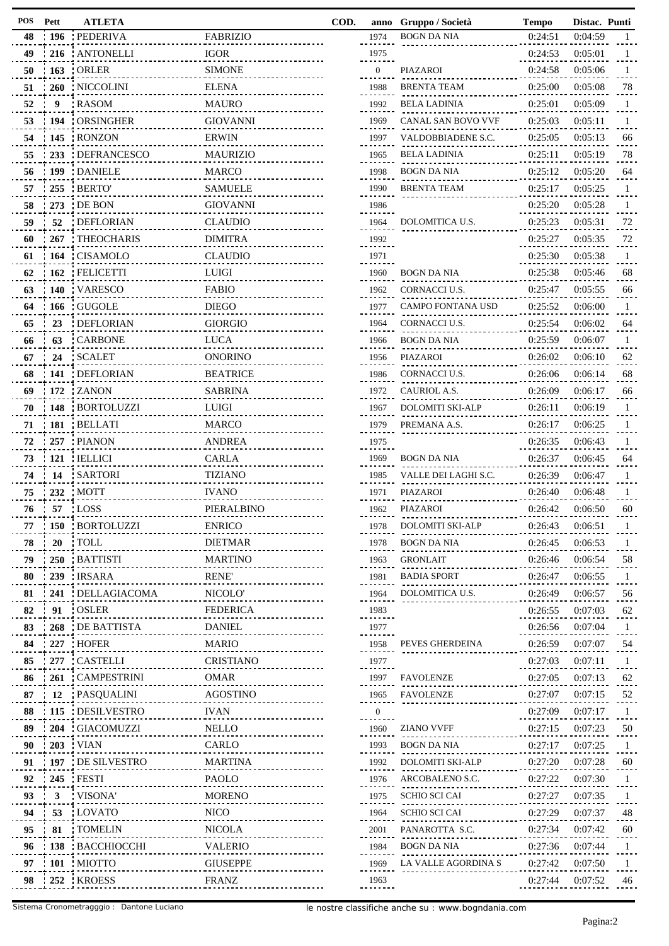| POS | Pett       | <b>ATLETA</b>        |                                          | COD. | anno            | Gruppo / Società     | <b>Tempo</b> | Distac. Punti |              |
|-----|------------|----------------------|------------------------------------------|------|-----------------|----------------------|--------------|---------------|--------------|
| 48  | : 196      | : PEDERIVA           | <b>FABRIZIO</b>                          |      | 1974            | <b>BOGN DA NIA</b>   | 0:24:51      | 0:04:59       | $\mathbf{1}$ |
| 49  | 216        | <b>ANTONELLI</b>     | <b>IGOR</b>                              |      | 1975            |                      | 0:24:53      | 0:05:01       | $\mathbf{1}$ |
| 50  | 163        | : ORLER              | <b>SIMONE</b>                            |      | $\mathbf{0}$    | PIAZAROI             | 0:24:58      | 0:05:06       | 1            |
| 51  | <b>260</b> | : NICCOLINI          | <b>ELENA</b>                             |      | 1988            | <b>BRENTA TEAM</b>   | 0:25:00      | 0:05:08       | 78           |
| 52  | 9          | : RASOM              | <b>MAURO</b>                             |      | 1992            | <b>BELA LADINIA</b>  | 0:25:01      | 0:05:09       | 1            |
| 53  | 194        | : ORSINGHER          | <b>GIOVANNI</b>                          |      | 1969            | CANAL SAN BOVO VVF   | 0:25:03      | 0:05:11       | -1           |
| 54  | 145        | : RONZON             | <b>ERWIN</b>                             |      | 1997            | VALDOBBIADENE S.C.   | 0:25:05      | 0:05:13       | 66           |
| 55  | 233        | : DEFRANCESCO        | <b>MAURIZIO</b>                          |      | 1965            | <b>BELA LADINIA</b>  | 0:25:11      | 0:05:19       | 78           |
| 56  | 199        | : DANIELE            | <b>MARCO</b>                             |      | 1998            | BOGN DA NIA          | 0:25:12      | 0:05:20       | 64           |
| 57  | 255        | : BERTO'             | <b>SAMUELE</b>                           |      | 1990            | <b>BRENTA TEAM</b>   | 0:25:17      | 0:05:25       | -1           |
| 58  | 273        | : DE BON             | <b>GIOVANNI</b>                          |      | 1986            |                      | 0:25:20      | 0:05:28       | -1           |
| 59  | 52         | : DEFLORIAN          | <b>CLAUDIO</b>                           |      | 1964            | DOLOMITICA U.S.      | 0:25:23      | 0:05:31       | 72           |
| 60  | 267        | : THEOCHARIS         | <b>DIMITRA</b>                           |      | 1992            |                      | 0:25:27      | 0:05:35       | 72           |
| 61  | 164        | : CISAMOLO           | <b>CLAUDIO</b>                           |      | -------<br>1971 |                      | 0:25:30      | 0:05:38       | 1            |
| 62  | 162        | <b>FELICETTI</b>     | <b>LUIGI</b>                             |      | 1960            | <b>BOGN DA NIA</b>   | 0:25:38      | 0:05:46       | 68           |
| 63  | <b>140</b> | : VARESCO            | <b>FABIO</b>                             |      | 1962            | CORNACCI U.S.        | 0:25:47      | 0:05:55       | 66           |
| 64  | 166        | : GUGOLE             | <b>DIEGO</b>                             |      | 1977            | CAMPO FONTANA USD    | 0:25:52      | 0:06:00       | -1           |
| 65  | 23         | : DEFLORIAN          | <b>GIORGIO</b>                           |      | 1964            | CORNACCI U.S.        | 0:25:54      | 0:06:02       | 64           |
| 66  | 63         | <b>CARBONE</b>       | <b>LUCA</b>                              |      | 1966            | $\rm BOGN$ DA NIA    | 0:25:59      | 0:06:07       | -1           |
| 67  | 24         | : SCALET             | <b>ONORINO</b>                           |      | 1956            | PIAZAROI             | 0:26:02      | 0:06:10       | 62           |
| 68  |            | 141 : DEFLORIAN      | <b>BEATRICE</b>                          |      | 1986            | CORNACCI U.S.        | 0:26:06      | 0:06:14       | 68           |
| 69  | 172        | : ZANON              | <b>SABRINA</b>                           |      | 1972            | CAURIOL A.S.         | 0:26:09      | 0:06:17       | 66           |
| 70  | 148        | <b>BORTOLUZZI</b>    | <b>LUIGI</b>                             |      | 1967            | DOLOMITI SKI-ALP     | 0:26:11      | 0:06:19       | 1            |
|     | 181        |                      |                                          |      |                 | PREMANA A.S.         |              |               |              |
| 71  |            | <b>BELLATI</b>       | <b>MARCO</b>                             |      | 1979            |                      | 0:26:17      | 0:06:25       | -1           |
| 72  |            | 257 PIANON           | <b>ANDREA</b>                            |      | 1975            |                      | 0:26:35      | 0:06:43       | 1            |
| 73  | 121        | : IELLICI            | <b>CARLA</b>                             |      | 1969            | <b>BOGN DA NIA</b>   | 0:26:37      | 0:06:45       | 64           |
| 74  | 14         | : SARTORI            | <b>TIZIANO</b>                           |      | 1985            | VALLE DEI LAGHI S.C. | 0:26:39      | 0:06:47       | 1            |
| 75  | 232        | : MOTT               | <b>IVANO</b>                             |      | 1971            | PIAZAROI             | 0:26:40      | 0:06:48       | -1           |
| 76  |            | 57 : LOSS            | PIERALBINO                               |      | 1962            | <b>PIAZAROI</b>      | 0:26:42      | 0:06:50       | 60           |
| 77  |            | 150 BORTOLUZZI       | <b>ENRICO</b>                            |      | 1978            | DOLOMITI SKI-ALP     | 0:26:43      | 0:06:51       | -1           |
| 78  | <b>20</b>  | : TOLL               | DIETMAR<br>.                             |      | 1978            | BOGN DA NIA          | 0:26:45      | 0:06:53       | -1           |
| 79  |            | 250 BATTISTI<br>.    | <b>MARTINO</b><br><u>.</u>               |      | 1963            | <b>GRONLAIT</b>      | 0:26:46      | 0:06:54       | 58           |
| 80  |            | 239 : IRSARA         | <b>RENE</b><br>.                         |      | 1981            | <b>BADIA SPORT</b>   | 0:26:47      | 0:06:55       | -1           |
| 81  |            | 241   DELLAGIACOMA   | NICOLO'<br>.                             |      | 1964            | DOLOMITICA U.S.      | 0:26:49      | 0:06:57       | 56           |
| 82  | 91         | : OSLER              | FEDERICA<br><u>.</u>                     |      | 1983            |                      | 0:26:55      | 0:07:03       | 62           |
| 83  | 268        | : DE BATTISTA<br>.   | <b>DANIEL</b>                            |      | 1977            |                      | 0:26:56      | 0:07:04       | -1           |
| 84  |            | 227 HOFER            | MARIO<br><u></u>                         |      | 1958            | PEVES GHERDEINA      | 0:26:59      | 0:07:07       | 54           |
| 85  |            | 277 CASTELLI         | <b>CRISTIANO</b><br>.                    |      | 1977<br>.       |                      | 0:27:03      | 0:07:11       | -1           |
| 86  |            | 261 CAMPESTRINI      | <b>OMAR</b><br>.                         |      |                 | 1997 FAVOLENZE       | 0:27:05      | 0:07:13       | 62           |
| 87  | 12         | <b>PASQUALINI</b>    | <b>AGOSTINO</b><br>.                     |      | 1965            | FAVOLENZE            | 0:27:07      | 0:07:15       | 52           |
| 88  | 115        | : DESILVESTRO        | <b>IVAN</b><br><u></u>                   |      | $\mathbf{0}$    |                      | 0:27:09      | 0:07:17       | -1           |
| 89  |            | 204 GIACOMUZZI       | NELLO<br>.                               |      | 1960            | ZIANO VVFF           | 0:27:15      | 0:07:23       | 50           |
| 90  |            | 203 VIAN             | CARLO<br><u>----------------</u>         |      | 1993            | BOGN DA NIA          | 0:27:17      | 0:07:25       | -1           |
| 91  | 197        | : DE SILVESTRO<br>.  | MARTINA                                  |      | 1992            | DOLOMITI SKI-ALP     | 0:27:20      | 0:07:28       | 60           |
| 92  |            | 245 FESTI            | PAOLO<br>.                               |      | 1976            | ARCOBALENO S.C.      | 0:27:22      | 0:07:30       | -1           |
| 93  | 3          | : VISONA'<br><u></u> | <b>MORENO</b><br>.                       |      | 1975            | SCHIO SCI CAI        | 0:27:27      | 0:07:35       | -1           |
| 94  | 53         | LOVATO:"             | <b>NICO</b><br><u>------------------</u> |      | 1964            | SCHIO SCI CAI        | 0:27:29      | 0:07:37       | 48           |
| 95  | 81         | : TOMELIN            | <b>NICOLA</b><br>.                       |      | 2001            | PANAROTTA S.C.       | 0:27:34      | 0:07:42       | 60           |
| 96  |            | 138 BACCHIOCCHI      | <b>VALERIO</b><br>.                      |      | 1984            | BOGN DA NIA          | 0:27:36      | 0:07:44       | -1           |
| 97  |            | 101 MIOTTO           | <b>GIUSEPPE</b>                          |      | 1969            | LA VALLE AGORDINA S  | 0:27:42      | 0:07:50       | $\mathbf{1}$ |
|     |            | 98 252 KROESS        | FRANZ                                    |      | 1963            |                      | 0:27:44      | 0:07:52       | 46           |
|     |            |                      |                                          |      | --------        |                      |              |               |              |

| COD. | anno         | Gruppo / Società              | <b>Tempo</b> | Distac. Punti |    |
|------|--------------|-------------------------------|--------------|---------------|----|
|      | 1974         | <b>BOGN DA NIA</b>            | 0:24:51      | 0:04:59       | 1  |
|      | 1975         |                               | 0:24:53      | 0:05:01       | 1  |
|      | 0            | PIAZAROI                      | 0:24:58      | 0:05:06       | 1  |
|      | 1988         | <b>BRENTA TEAM</b>            | 0:25:00      | 0:05:08       | 78 |
|      | 1992         | <b>BELA LADINIA</b>           | 0:25:01      | 0:05:09       | 1  |
|      | 1969         | CANAL SAN BOVO VVF            | 0:25:03      | 0:05:11       | 1  |
|      | 1997         | VALDOBBIADENE S.C.            | 0:25:05      | 0:05:13       | 66 |
|      | 1965         | <b>BELA LADINIA</b>           | 0:25:11      | 0:05:19       | 78 |
|      |              | <b>BOGN DA NIA</b>            |              |               |    |
|      | 1998         |                               | 0:25:12      | 0:05:20       | 64 |
|      | 1990         | <b>BRENTA TEAM</b>            | 0:25:17      | 0:05:25       | 1  |
|      | 1986         |                               | 0:25:20      | 0:05:28       | 1  |
|      | 1964         | DOLOMITICA U.S.               | 0:25:23      | 0:05:31       | 72 |
|      | 1992         |                               | 0:25:27      | 0:05:35       | 72 |
|      | 1971         |                               | 0:25:30      | 0:05:38       | 1  |
|      | 1960         | <b>BOGN DA NIA</b>            | 0:25:38      | 0:05:46       | 68 |
|      | 1962         | CORNACCI U.S.                 | 0:25:47      | 0:05:55       | 66 |
|      | 1977         | <b>CAMPO FONTANA USD</b>      | 0:25:52      | 0:06:00       | 1  |
|      | 1964         | CORNACCI U.S.                 | 0:25:54      | 0:06:02       | 64 |
|      | 1966         | <b>BOGN DA NIA</b>            | 0:25:59      | 0:06:07       | 1  |
|      | 1956         | PIAZAROI                      | 0:26:02      | 0:06:10       | 62 |
|      |              | CORNACCI U.S.                 |              |               |    |
|      | 1986         |                               | 0:26:06      | 0:06:14       | 68 |
|      | 1972         | CAURIOL A.S.                  | 0:26:09      | 0:06:17       | 66 |
|      | 1967         | <b>DOLOMITI SKI-ALP</b>       | 0:26:11      | 0:06:19       | 1  |
|      | 1979         | PREMANA A.S.                  | 0:26:17      | 0:06:25       | 1  |
|      | 1975         |                               | 0:26:35      | 0:06:43       | 1  |
|      | 1969         | <b>BOGN DA NIA</b>            | 0:26:37      | 0:06:45       | 64 |
|      | 1985         | VALLE DEI LAGHI S.C.          | 0:26:39      | 0:06:47       | 1  |
|      | 1971         | PIAZAROI                      | 0:26:40      | 0:06:48       | 1  |
|      | 1962         | PIAZAROI                      | 0:26:42      | 0:06:50       | 60 |
|      | 1978         | ---------<br>DOLOMITI SKI-ALP | 0:26:43      | 0:06:51       | 1  |
|      | 1978         | BOGN DA NIA                   | 0:26:45      | 0:06:53       |    |
|      | 1963         | GRONLAIT                      | 0:26:46      | 0:06:54       | 58 |
|      | 1981         | <b>BADIA SPORT</b>            | 0:26:47      | 0:06:55       | 1  |
|      | 1964         | DOLOMITICA U.S.               | 0:26:49      | 0:06:57       | 56 |
|      |              |                               |              | 0:07:03       | 62 |
|      | 1983         |                               | 0:26:55      |               |    |
|      | 1977         |                               | 0:26:56      | 0:07:04       | 1  |
|      | 1958         | PEVES GHERDEINA               | 0:26:59      | 0:07:07       | 54 |
|      | 1977         |                               | 0:27:03      | 0:07:11       | 1  |
|      | 1997         | <b>FAVOLENZE</b>              | 0:27:05      | 0:07:13       | 62 |
|      | 1965         | FAVOLENZE                     | 0:27:07      | 0:07:15       | 52 |
|      | $\mathbf{0}$ |                               | 0:27:09      | 0:07:17       | 1  |
|      | 1960         | ZIANO VVFF                    | 0:27:15      | 0:07:23       | 50 |
|      | 1993         | BOGN DA NIA                   | 0:27:17      | 0:07:25       | 1  |
|      | 1992         | DOLOMITI SKI-ALP              | 0:27:20      | 0:07:28       | 60 |
|      | 1976         | ARCOBALENO S.C.               | 0:27:22      | 0:07:30       | 1  |
|      | 1975         | SCHIO SCI CAI                 | 0:27:27      | 0:07:35       | 1  |
|      | 1964         | SCHIO SCI CAI                 | 0:27:29      | 0:07:37       | 48 |
|      | 2001         | PANAROTTA S.C.                | 0:27:34      | 0:07:42       | 60 |
|      |              | BOGN DA NIA                   | 0:27:36      | 0:07:44       | 1  |
|      | 1984         |                               |              |               |    |
|      | 1969         | LA VALLE AGORDINA S           | 0:27:42      | 0:07:50       | 1  |
|      | 1963         |                               | 0:27:44      | 0:07:52       | 46 |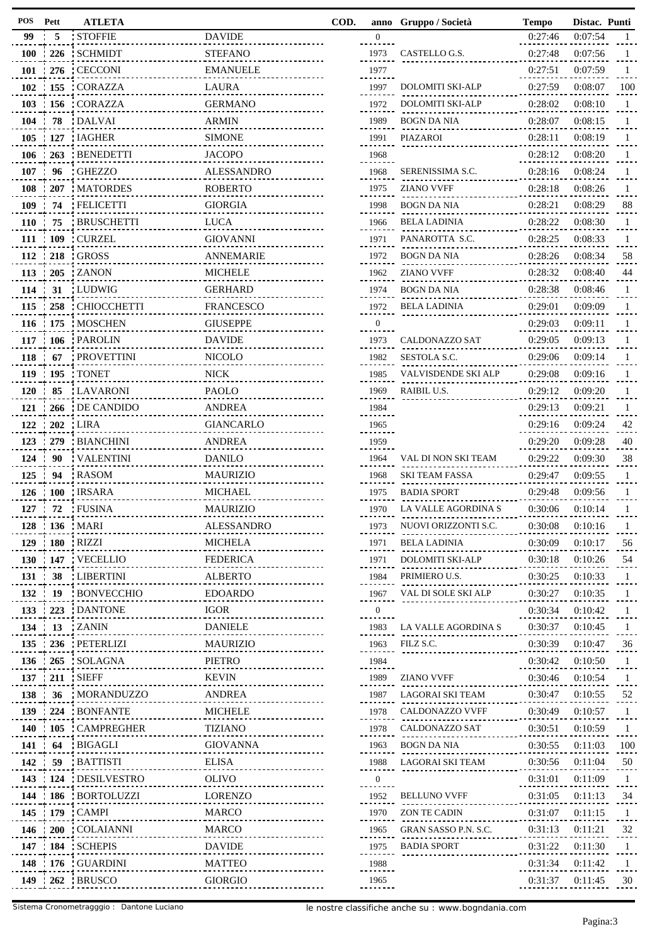| POS           | Pett             | <b>ATLETA</b>          |                         | COD. |                   | anno Gruppo / Società   | <b>Tempo</b> | Distac. Punti |              |
|---------------|------------------|------------------------|-------------------------|------|-------------------|-------------------------|--------------|---------------|--------------|
| 99            | - 5              | <b>STOFFIE</b>         | <b>DAVIDE</b>           |      | $\mathbf{0}$      |                         | 0:27:46      | 0:07:54       | $\mathbf{1}$ |
| <b>100</b>    |                  | 226 SCHMIDT            | <b>STEFANO</b>          |      | 1973              | CASTELLO G.S.           | 0:27:48      | 0:07:56       | 1            |
| 101           |                  | 276 : CECCONI          | <b>EMANUELE</b>         |      | 1977              |                         | 0:27:51      | 0:07:59       |              |
| 102           |                  | : 155 : CORAZZA        | LAURA                   |      | 1997              | DOLOMITI SKI-ALP        | 0:27:59      | 0:08:07       | 100          |
| 103           |                  | : 156 CORAZZA          | <b>GERMANO</b>          |      | 1972              | <b>DOLOMITI SKI-ALP</b> | 0:28:02      | 0:08:10       | 1            |
| 104           | 78               | : DALVAI               | <b>ARMIN</b>            |      | 1989              | <b>BOGN DA NIA</b>      | 0:28:07      | 0:08:15       | 1            |
| 105           |                  | : 127 : IAGHER         | <b>SIMONE</b>           |      | 1991              | PIAZAROI                | 0:28:11      | 0:08:19       |              |
| 106           | 1263             | <b>BENEDETTI</b>       | <b>JACOPO</b>           |      | 1968              |                         | 0:28:12      | 0:08:20       |              |
| 107           | 96               | <b>GHEZZO</b>          | <b>ALESSANDRO</b>       |      | 1968              | SERENISSIMA S.C.        | 0:28:16      | 0:08:24       |              |
| 108           | 207              | <b>MATORDES</b>        | <b>ROBERTO</b>          |      | 1975              | <b>ZIANO VVFF</b>       | 0:28:18      | 0:08:26       | 1            |
| 109           | 74               | <b>FELICETTI</b>       | <b>GIORGIA</b>          |      | 1998              | BOGN DA NIA             | 0:28:21      | 0:08:29       | 88           |
| <b>110</b>    | 75               | <b>BRUSCHETTI</b>      | <b>LUCA</b>             |      | 1966              | <b>BELA LADINIA</b>     | 0:28:22      | 0:08:30       | 1            |
|               |                  | 111   109   CURZEL     | <b>GIOVANNI</b>         |      | 1971              | PANAROTTA S.C.          | 0:28:25      | 0:08:33       |              |
| 112           | $\therefore$ 218 | : GROSS                | <b>ANNEMARIE</b>        |      | 1972              | BOGN DA NIA             | 0:28:26      | 0:08:34       | 58           |
| 113           |                  | $-205$ ZANON           | <b>MICHELE</b>          |      | 1962              | <b>ZIANO VVFF</b>       | 0:28:32      | 0:08:40       | 44           |
|               |                  |                        |                         |      |                   |                         |              |               |              |
| 114           | 31               | : LUDWIG               | <b>GERHARD</b>          |      | 1974              | <b>BOGN DA NIA</b>      | 0:28:38      | 0:08:46       |              |
| 115           | 258              | : CHIOCCHETTI          | FRANCESCO               |      | 1972              | <b>BELA LADINIA</b>     | 0:29:01      | 0:09:09       |              |
| 116           | : 175            | MOSCHEN                | <b>GIUSEPPE</b>         |      | $\mathbf{0}$<br>. |                         | 0:29:03      | 0:09:11       |              |
|               |                  | 117 : 106 : PAROLIN    | <b>DAVIDE</b>           |      | 1973              | CALDONAZZO SAT          | 0:29:05      | 0:09:13       |              |
| 118           | -67              | : PROVETTINI           | <b>NICOLO</b>           |      | 1982              | SESTOLA S.C.            | 0:29:06      | 0:09:14       |              |
| 119           |                  | $195$ TONET            | <b>NICK</b>             |      | 1985              | VALVISDENDE SKI ALP     | 0:29:08      | 0:09:16       |              |
| <b>120</b>    | 85               | : LAVARONI             | <b>PAOLO</b>            |      | 1969              | RAIBIL U.S.             | 0:29:12      | 0:09:20       | 1            |
| 121           | 266              | : DE CANDIDO           | <b>ANDREA</b>           |      | 1984              |                         | 0:29:13      | 0:09:21       |              |
| 122           | : 202            | : LIRA                 | <b>GIANCARLO</b>        |      | 1965              |                         | 0:29:16      | 0:09:24       | 42           |
| 123           | 279              | : BIANCHINI            | ANDREA                  |      | 1959              |                         | 0:29:20      | 0:09:28       | 40           |
| 124           | 90               | : VALENTINI            | <b>DANILO</b>           |      | 1964              | VAL DI NON SKI TEAM     | 0:29:22      | 0:09:30       | 38           |
| 125           | 94               | : RASOM                | <b>MAURIZIO</b>         |      | 1968              | SKI TEAM FASSA          | 0:29:47      | 0:09:55       |              |
| 126           | $\div 100$       | : IRSARA               | <b>MICHAEL</b>          |      | 1975              | <b>BADIA SPORT</b>      | 0:29:48      | 0:09:56       |              |
|               |                  | 127 : 72 : FUSINA      | <b>MAURIZIO</b>         |      | 1970              | LA VALLE AGORDINA S     | 0:30:06      | 0:10:14       |              |
|               |                  | 128   136   MARI       | <b>ALESSANDRO</b>       |      | 1973              | NUOVI ORIZZONTI S.C.    | 0:30:08      | 0:10:16       | 1            |
|               |                  | 129 : 180 : RIZZI      | <b>MICHELA</b>          |      | 1971              | BELA LADINIA            | 0:30:09      | 0:10:17       | 56           |
|               |                  | 130   147   VECELLIO   | FEDERICA                |      | 1971              | <b>DOLOMITI SKI-ALP</b> | 0:30:18      | 0:10:26       | 54           |
| 131           | 38               | : LIBERTINI            | <b>ALBERTO</b>          |      | 1984              | PRIMIERO U.S.           | 0:30:25      | 0:10:33       | 1            |
| 132           | $\frac{1}{2}$ 19 | : BONVECCHIO           | <b>EDOARDO</b>          |      | 1967              | VAL DI SOLE SKI ALP     | 0:30:27      | 0:10:35       | - 1          |
|               |                  | 133 : 223 : DANTONE    | <b>IGOR</b><br><u>.</u> |      | $\mathbf{0}$      |                         | 0:30:34      | 0:10:42       | 1            |
| 134           | $\frac{1}{2}$ 13 | ' ZANIN                | <b>DANIELE</b>          |      | --------<br>1983  | LA VALLE AGORDINA S     | 0:30:37      | 0:10:45       | 1            |
| 135           |                  | 236 : PETERLIZI        | MAURIZIO                |      | 1963              | FILZ S.C.               | 0:30:39      | 0:10:47       | 36           |
|               |                  | 136 265 SOLAGNA        | PIETRO                  |      | 1984              |                         | 0:30:42      | 0:10:50       | -1           |
|               |                  | 137 : 211 : SIEFF      | <b>KEVIN</b>            |      | 1989              | <b>ZIANO VVFF</b>       | 0:30:46      | 0:10:54       | 1            |
| 138           |                  | 36   MORANDUZZO        | .<br>ANDREA             |      | 1987              | LAGORAI SKI TEAM        | 0:30:47      | 0:10:55       | 52           |
| 139           |                  | 224 BONFANTE           | <b>MICHELE</b>          |      | 1978              | CALDONAZZO VVFF         | 0:30:49      | 0:10:57       | 1            |
|               |                  | 140 : 105 : CAMPREGHER | TIZIANO                 |      | 1978              | CALDONAZZO SAT          | 0:30:51      | 0:10:59       | -1           |
| $141 \div 64$ |                  | : BIGAGLI              | GIOVANNA                |      | 1963              | BOGN DA NIA             | 0:30:55      | 0:11:03       | 100          |
| 142 :         | 59               | <b>BATTISTI</b>        | ELISA                   |      | 1988              | LAGORAI SKI TEAM        | 0:30:56      | 0:11:04       | 50           |
|               |                  | 143 124 DESILVESTRO    | <b>OLIVO</b>            |      | $\mathbf{0}$      |                         | 0:31:01      | 0:11:09       | 1            |
|               |                  | 144 : 186 : BORTOLUZZI | LORENZO                 |      | .<br>1952         | <b>BELLUNO VVFF</b>     | 0:31:05      | 0:11:13       | 34           |
|               |                  | 145   179   CAMPI      | MARCO                   |      | 1970              | ZON TE CADIN            | 0:31:07      | 0:11:15       | 1            |
|               |                  | 146   200   COLAIANNI  | MARCO                   |      |                   |                         |              |               |              |
|               |                  |                        |                         |      | 1965              | GRAN SASSO P.N. S.C.    | 0:31:13      | 0:11:21       | 32           |
|               |                  | 147 : 184 : SCHEPIS    | <b>DAVIDE</b>           |      | 1975              | <b>BADIA SPORT</b>      | 0:31:22      | 0:11:30       | 1            |
|               |                  | 148 : 176 : GUARDINI   | MATTEO                  |      | 1988<br>          |                         | 0:31:34      | 0:11:42       | -1           |
|               |                  | 149 : 262 : BRUSCO     | <b>GIORGIO</b>          |      | 1965<br>          |                         | 0:31:37      | 0:11:45       | 30           |

| COD. | anno             | Gruppo / Società        | <b>Tempo</b>        | Distac. Punti |                    |
|------|------------------|-------------------------|---------------------|---------------|--------------------|
|      | $\boldsymbol{0}$ |                         | 0:27:46             | 0:07:54       | 1                  |
|      | 1973             | CASTELLO G.S.           | 0:27:48             | 0:07:56       | 1                  |
|      | 1977             |                         | 0:27:51             | 0:07:59       | 1                  |
|      | 1997             | <b>DOLOMITI SKI-ALP</b> | 0:27:59             | 0:08:07       | 100                |
|      | 1972             | <b>DOLOMITI SKI-ALP</b> | 0:28:02             | 0:08:10       | 1                  |
|      | 1989             | BOGN DA NIA             | 0:28:07             | 0:08:15       | 1                  |
|      | 1991             | PIAZAROI                | 0:28:11             | 0:08:19       | 1                  |
|      | 1968             |                         | 0:28:12             | 0:08:20       | 1                  |
|      | 1968             | SERENISSIMA S.C.        | 0:28:16             | 0:08:24       | 1                  |
|      | 1975             | ZIANO VVFF              | 0:28:18             | 0:08:26       | 1                  |
|      | 1998             | <b>BOGN DA NIA</b>      | 0:28:21             | 0:08:29       | 88                 |
|      | 1966             | BELA LADINIA            | 0:28:22             | 0:08:30       | 1                  |
|      | 1971             | PANAROTTA S.C.          | 0:28:25             | 0:08:33       | 1                  |
|      | 1972             | BOGN DA NIA             | 0:28:26             | 0:08:34       | 58                 |
|      | 1962             | ZIANO VVFF              | 0:28:32             | 0:08:40       | 44                 |
|      | 1974             | BOGN DA NIA             | 0:28:38             | 0:08:46       | 1                  |
|      | 1972             | <b>BELA LADINIA</b>     | 0:29:01             | 0:09:09       | 1                  |
|      | 0                |                         | 0:29:03             | 0:09:11       | 1                  |
|      | 1973             | <b>CALDONAZZO SAT</b>   | 0:29:05             | 0:09:13       | 1                  |
|      | 1982             | SESTOLA S.C.            | 0:29:06             | 0:09:14       | 1                  |
|      | 1985             | VALVISDENDE SKI ALP     | 0:29:08             | 0:09:16       | 1                  |
|      | 1969             | RAIBIL U.S.             | 0:29:12             | 0:09:20       | 1                  |
|      | 1984             |                         | 0:29:13             | 0:09:21       | 1                  |
|      | 1965             |                         | 0:29:16             | 0:09:24       | 42                 |
|      | 1959             |                         | 0:29:20             | 0:09:28       | 40                 |
|      | 1964             | VAL DI NON SKI TEAM     | 0:29:22             | 0:09:30       | 38                 |
|      | 1968             | SKI TEAM FASSA          | 0:29:47             | 0:09:55       | 1                  |
|      | 1975             | <b>BADIA SPORT</b>      | 0:29:48             | 0:09:56       | 1                  |
|      | 1970             | LA VALLE AGORDINA S     | 0:30:06             | 0:10:14       | 1                  |
|      | 1973             | NUOVI ORIZZONTI S.C.    | 0:30:08             | 0:10:16       | 1                  |
|      | 1971             | <b>BELA LADINIA</b>     | 0:30:09             | 0:10:17       | 56                 |
|      | 1971             | <b>DOLOMITI SKI-ALP</b> | 0:30:18             | 0:10:26       | 54                 |
|      | 1984             | PRIMIERO U.S.           | 0:30:25             | 0:10:33       | 1                  |
|      | 1967             | VAL DI SOLE SKI ALP     | 0:30:27             | 0:10:35       | 1                  |
|      | $\overline{0}$   |                         | 0:30:34             | 0:10:42       | $\mathbf{1}$       |
|      | 1983             | LA VALLE AGORDINA S     | 0:30:37             | 0:10:45       | 1                  |
|      | 1963             | FILZ S.C.               | 0:30:39             | 0:10:47       | 36                 |
|      | 1984             |                         | 0:30:42             | 0:10:50       | 1                  |
|      | 1989             | ZIANO VVFF              | 0:30:46             | 0:10:54       | 1                  |
|      |                  | LAGORAI SKI TEAM        |                     |               |                    |
|      | 1987             | CALDONAZZO VVFF         | $0:30:47$ $0:10:55$ |               | 52<br>$\mathbf{1}$ |
|      | 1978             |                         | 0:30:49             | 0:10:57       |                    |
|      | 1978             | CALDONAZZO SAT          | 0:30:51             | 0:10:59       | 1                  |
|      | 1963             | BOGN DA NIA             | 0:30:55             | 0:11:03       | 100                |
|      | 1988             | LAGORAI SKI TEAM        | 0:30:56             | 0:11:04       | 50                 |
|      | $\overline{0}$   |                         | 0:31:01             | 0:11:09       | 1                  |
|      | 1952             | <b>BELLUNO VVFF</b>     | 0:31:05             | 0:11:13       | 34                 |
|      | 1970             | ZON TE CADIN            | 0:31:07             | 0:11:15       | 1                  |
|      | 1965             | GRAN SASSO P.N. S.C.    | 0:31:13             | 0:11:21       | 32                 |
|      | 1975             | <b>BADIA SPORT</b>      | 0:31:22             | 0:11:30       | 1                  |
|      | 1988             |                         | 0:31:34             | 0:11:42       | 1                  |
|      | 1965             |                         | 0:31:37             | 0:11:45       | 30                 |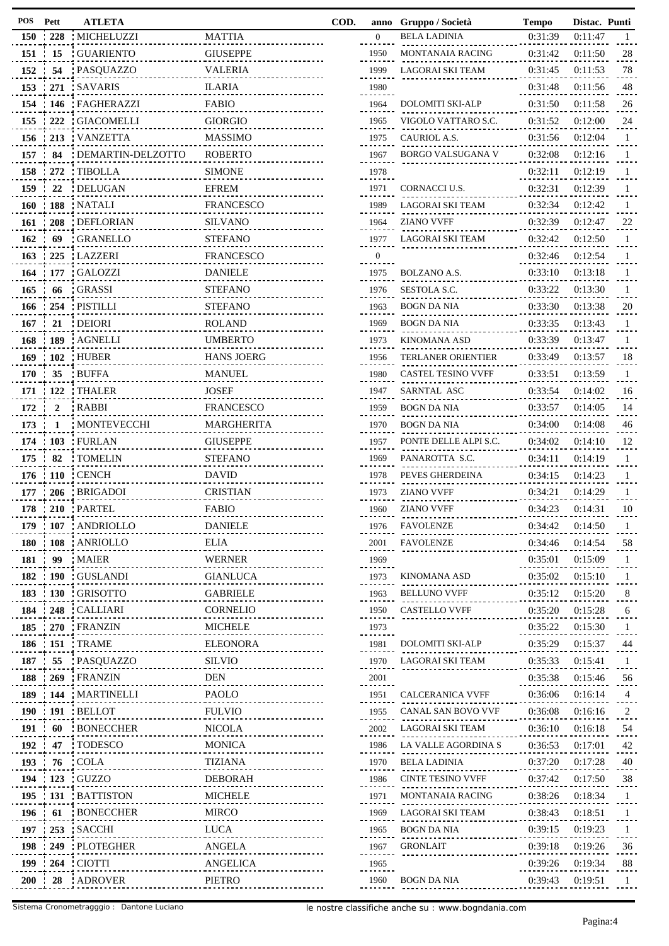| POS      | Pett             | <b>ATLETA</b>                        |                                  | COD. | anno         | Gruppo / Società          | <b>Tempo</b> | Distac. Punti |              |
|----------|------------------|--------------------------------------|----------------------------------|------|--------------|---------------------------|--------------|---------------|--------------|
|          | $150 \div 228$   | : MICHELUZZI                         | <b>MATTIA</b>                    |      | $\mathbf{0}$ | <b>BELA LADINIA</b>       | 0:31:39      | 0:11:47       | -1           |
| 151      | 15               | : GUARIENTO                          | <b>GIUSEPPE</b>                  |      | 1950         | <b>MONTANAIA RACING</b>   | 0:31:42      | 0:11:50       | 28           |
| 152      | 54               | : PASQUAZZO                          | <b>VALERIA</b>                   |      | 1999         | LAGORAI SKI TEAM          | 0:31:45      | 0:11:53       | 78           |
| 153      |                  | 271 SAVARIS                          | <b>ILARIA</b>                    |      | 1980         |                           | 0:31:48      | 0:11:56       | 48           |
| 154      |                  | 146   FAGHERAZZI                     | <b>FABIO</b>                     |      | 1964         | DOLOMITI SKI-ALP          | 0:31:50      | 0:11:58       | 26           |
| 155      | 222              | : GIACOMELLI                         | <b>GIORGIO</b>                   |      | 1965         | VIGOLO VATTARO S.C.       | 0:31:52      | 0:12:00       | 24           |
| 156      | : 213            | <b>VANZETTA</b>                      | <b>MASSIMO</b>                   |      | 1975         | CAURIOL A.S.              | 0:31:56      | 0:12:04       | -1           |
| 157      | 84               | : DEMARTIN-DELZOTTO                  | <b>ROBERTO</b>                   |      | 1967         | <b>BORGO VALSUGANA V</b>  | 0:32:08      | 0:12:16       | -1           |
| 158      | 272              | : TIBOLLA                            | <b>SIMONE</b>                    |      | 1978         |                           | 0:32:11      | 0:12:19       | -1           |
| 159      | 22               | : DELUGAN                            | <b>EFREM</b>                     |      | 1971         | CORNACCI U.S.             | 0:32:31      | 0:12:39       | -1           |
| 160      |                  | 188 NATALI                           | <b>FRANCESCO</b>                 |      | 1989         | LAGORAI SKI TEAM          | 0:32:34      | 0:12:42       | -1           |
| 161      | $\frac{1}{208}$  | : DEFLORIAN                          | <b>SILVANO</b>                   |      | 1964         | <b>ZIANO VVFF</b>         | 0:32:39      | 0:12:47       | 22           |
| 162      | 69               | <b>GRANELLO</b>                      | <b>STEFANO</b>                   |      | 1977         | LAGORAI SKI TEAM          | 0:32:42      | 0:12:50       | -1           |
| 163      | 225              | : LAZZERI                            | <b>FRANCESCO</b>                 |      | $\mathbf{0}$ |                           | 0:32:46      | 0:12:54       | -1           |
| 164      | $\div 177$       | : GALOZZI                            | <b>DANIELE</b>                   |      | .<br>1975    | BOLZANO A.S.              | 0:33:10      | 0:13:18       | -1           |
| 165      | 66               | : GRASSI                             | <b>STEFANO</b>                   |      | 1976         | SESTOLA S.C.              | 0:33:22      | 0:13:30       | -1           |
| 166      |                  | 254 PISTILLI                         | <b>STEFANO</b>                   |      | 1963         | <b>BOGN DA NIA</b>        | 0:33:30      | 0:13:38       | 20           |
| 167      | 21               | : DEIORI                             | <b>ROLAND</b>                    |      | 1969         | <b>BOGN DA NIA</b>        | 0:33:35      | 0:13:43       | -1           |
| 168      |                  | 189 AGNELLI                          | <b>UMBERTO</b>                   |      | 1973         | <b>KINOMANA ASD</b>       | 0:33:39      | 0:13:47       | -1           |
| 169      | $\div 102$       | : HUBER                              | <b>HANS JOERG</b>                |      | 1956         | TERLANER ORIENTIER        | 0:33:49      | 0:13:57       | -18          |
| 170      | 35               | <b>BUFFA</b>                         | <b>MANUEL</b>                    |      | 1980         | <b>CASTEL TESINO VVFF</b> | 0:33:51      | 0:13:59       | -1           |
| 171      | $-122$           | : THALER                             | <b>JOSEF</b>                     |      | 1947         | SARNTAL ASC               | 0:33:54      | 0:14:02       | -16          |
| 172      | $\boldsymbol{2}$ | : RABBI                              | <b>FRANCESCO</b>                 |      | 1959         | BOGN DA NIA               | 0:33:57      | 0:14:05       | 14           |
| 173      | -1               | : MONTEVECCHI                        | MARGHERITA                       |      | 1970         | <b>BOGN DA NIA</b>        | 0:34:00      | 0:14:08       | 46           |
| 174      |                  | 103 FURLAN                           | <b>GIUSEPPE</b>                  |      | 1957         | PONTE DELLE ALPI S.C.     | 0:34:02      | 0:14:10       | 12           |
| 175      | 82               | : TOMELIN                            | <b>STEFANO</b>                   |      | 1969         | PANAROTTA S.C.            | 0:34:11      | 0:14:19       | -1           |
| 176      |                  | $\cdot$ 110 $\cdot$ CENCH            | <b>DAVID</b>                     |      | 1978         | PEVES GHERDEINA           | 0:34:15      | 0:14:23       |              |
|          |                  |                                      | <b>CRISTIAN</b>                  |      | 1973         | <b>ZIANO VVFF</b>         | 0:34:21      | 0:14:29       | -1           |
| 177      |                  | : 206 BRIGADOI<br>178 : 210 : PARTEL | <b>FABIO</b>                     |      |              |                           |              |               | -1           |
|          |                  |                                      |                                  |      | 1960         | <b>ZIANO VVFF</b>         | 0:34:23      | 0:14:31       | 10           |
|          |                  | 179 : 107 : ANDRIOLLO                | <b>DANIELE</b>                   |      | 1976         | <b>FAVOLENZE</b>          | 0:34:42      | 0:14:50       | -1           |
|          |                  | 180 : 108 : ANRIOLLO                 | ELIA<br><u>.</u>                 |      | 2001         | FAVOLENZE                 | 0:34:46      | 0:14:54       | 58           |
| 181 :    | 99               | : MAIER                              | <b>WERNER</b>                    |      | 1969         |                           | 0:35:01      | 0:15:09       | -1           |
| 182      | <b>190</b>       | : GUSLANDI                           | <b>GIANLUCA</b>                  |      | 1973         | KINOMANA ASD              | 0:35:02      | 0:15:10       | -1           |
|          | 183 130          | : GRISOTTO                           | <b>GABRIELE</b>                  |      | 1963         | <b>BELLUNO VVFF</b>       | 0:35:12      | 0:15:20       | 8            |
| 184      |                  | 248   CALLIARI                       | CORNELIO                         |      | 1950         | <b>CASTELLO VVFF</b>      | 0:35:20      | 0:15:28       | 6            |
| 185      |                  | 270 FRANZIN                          | <b>MICHELE</b>                   |      | 1973         |                           | 0:35:22      | 0:15:30       | $\mathbf{1}$ |
| 186      |                  | $\pm$ 151 TRAME                      | <b>ELEONORA</b><br>------------- |      | 1981         | DOLOMITI SKI-ALP          | 0:35:29      | 0:15:37       | 44           |
| 187      | 55               | : PASQUAZZO                          | <b>SILVIO</b>                    |      | 1970         | LAGORAI SKI TEAM          | 0:35:33      | 0:15:41       | -1           |
| 188      |                  | 269 FRANZIN                          | DEN<br>.                         |      | 2001         |                           | 0:35:38      | 0:15:46       | 56           |
| 189      |                  | : 144 MARTINELLI                     | PAOLO                            |      | 1951         | <b>CALCERANICA VVFF</b>   | 0:36:06      | 0:16:14       | 4            |
| 190      |                  | : 191 : <b>BELLOT</b>                | <b>FULVIO</b><br>.               |      | 1955         | CANAL SAN BOVO VVF        | 0:36:08      | 0:16:16       | 2            |
| 191 :    | -60              | : BONECCHER                          | <b>NICOLA</b><br><u></u>         |      | 2002         | LAGORAI SKI TEAM          | 0:36:10      | 0:16:18       | 54           |
| 192      | 47               | : TODESCO                            | <b>MONICA</b><br>.               |      | 1986         | LA VALLE AGORDINA S       | 0:36:53      | 0:17:01       | 42           |
| 193 : 76 |                  | : COLA                               | TIZIANA                          |      | 1970         | <b>BELA LADINIA</b>       | 0:37:20      | 0:17:28       | 40           |
| 194      |                  | 123 GUZZO                            | <b>DEBORAH</b>                   |      | 1986         | <b>CINTE TESINO VVFF</b>  | 0:37:42      | 0:17:50       | 38           |
|          |                  | 195 : 131 : BATTISTON                | <b>MICHELE</b>                   |      | 1971         | MONTANAIA RACING          | 0:38:26      | 0:18:34       | -1           |
| 196      | 61               | <b>BONECCHER</b>                     | MIRCO<br><u></u>                 |      | 1969         | LAGORAI SKI TEAM          | 0:38:43      | 0:18:51       | -1           |
|          |                  | 197   253   SACCHI                   | <b>LUCA</b><br><u></u>           |      | 1965         | BOGN DA NIA               | 0:39:15      | 0:19:23       | -1           |
| 198      |                  | 249 : PLOTEGHER                      | ANGELA<br>.                      |      | 1967         | <b>GRONLAIT</b>           | 0:39:18      | 0:19:26       | 36           |
|          |                  | 199 264 CIOTTI                       | ANGELICA                         |      | 1965<br>.    |                           | 0:39:26      | 0:19:34       | 88           |
|          |                  | 200 28 ADROVER                       | PIETRO                           |      | 1960         | BOGN DA NIA               | 0:39:43      | 0:19:51       | -1           |
|          |                  |                                      |                                  |      |              |                           |              |               |              |

| anno     | Gruppo / Societa                                                                | 1 empo                   | <b>Distac.</b>         | runu            |
|----------|---------------------------------------------------------------------------------|--------------------------|------------------------|-----------------|
| 0        | <b>BELA LADINIA</b>                                                             | 0:31:39                  | 0:11:47                | 1               |
| 1950     | <b>MONTANAIA RACING</b>                                                         | 0:31:42                  | 0:11:50                | 28              |
| 1999     | LAGORAI SKI TEAM                                                                | 0:31:45                  | 0:11:53                | 78              |
| 1980     |                                                                                 | 0:31:48                  | 0:11:56                | 48              |
| 1964     | <b>DOLOMITI SKI-ALP</b>                                                         | 0:31:50                  | 0:11:58                | 26              |
| 1965     | VIGOLO VATTARO S.C.                                                             | 0:31:52                  | 0:12:00                | 24              |
| 1975     | CAURIOL A.S.                                                                    | 0:31:56                  | 0:12:04                | 1               |
| 1967     | BORGO VALSUGANA V                                                               | 0:32:08                  | 0:12:16                | 1               |
| 1978     |                                                                                 | 0:32:11                  | 0:12:19                | 1               |
| 1971     | CORNACCI U.S.                                                                   | 0:32:31                  | 0:12:39                | 1               |
| 1989     | LAGORAI SKI TEAM                                                                | 0:32:34                  | 0:12:42                | 1               |
| 1964     | ZIANO VVFF                                                                      | 0:32:39                  | 0:12:47                | 22              |
| 1977     | LAGORAI SKI TEAM                                                                | 0:32:42                  | 0:12:50                | 1               |
| $\Omega$ |                                                                                 | 0:32:46                  | 0:12:54                | 1               |
| 1975     | BOLZANO A.S.                                                                    | 0:33:10                  | 0:13:18                | 1               |
| 1976     | SESTOLA S.C.                                                                    | 0:33:22                  | 0:13:30                | 1               |
| 1963     | BOGN DA NIA                                                                     | 0:33:30                  | 0:13:38                | 20              |
| 1969     | <b>BOGN DA NIA</b>                                                              | 0:33:35                  | 0:13:43                | 1               |
| 1973     | KINOMANA ASD                                                                    | 0:33:39                  | 0:13:47                | 1               |
| 1956     | TERLANER ORIENTIER                                                              | 0:33:49                  | 0:13:57                | 18              |
| 1980     | CASTEL TESINO VVFF                                                              | 0:33:51                  | 0:13:59                | 1               |
| 1947     | SARNTAL ASC                                                                     | 0:33:54                  | 0:14:02                | 16              |
| 1959     | BOGN DA NIA                                                                     | 0:33:57                  | 0:14:05                | 14              |
| 1970     | BOGN DA NIA                                                                     | 0:34:00                  | 0:14:08                | 46              |
| 1957     | PONTE DELLE ALPI S.C.                                                           | 0:34:02                  | 0:14:10                | 12              |
| 1969     | PANAROTTA S.C.                                                                  | 0:34:11                  | 0:14:19                | 1               |
| 1978     | PEVES GHERDEINA                                                                 | 0:34:15                  | 0:14:23                | 1               |
| 1973     | ZIANO VVFF                                                                      | 0:34:21                  | 0:14:29                | 1               |
| 1960     | ZIANO VVFF                                                                      | 0:34:23                  | 0:14:31                | 10              |
| 1976     | FAVOLENZE                                                                       | 0:34:42                  | 0:14:50                |                 |
|          | <br>2001 FAVOLENZE<br>$0.34.46$ 0.14:54                                         |                          |                        | 58              |
| 1969     |                                                                                 | $0:35:01$ $0:15:09$ 1    |                        |                 |
|          | 1973 KINOMANA ASD 0:35:02 0:15:10                                               |                          |                        | 1.1.            |
|          | 1963 BELLUNO VVFF 0:35:12 0:15:20                                               |                          |                        | .8.             |
|          | 1950 CASTELLO VVFF 0:35:20 0:15:28                                              |                          |                        | $\frac{6}{100}$ |
| 1973     |                                                                                 | $0:35:22$ $0:15:30$      |                        | $\frac{1}{2}$   |
|          | 1981 DOLOMITI SKI-ALP 0:35:29 0:15:37 44                                        |                          |                        |                 |
|          | 1970 LAGORAI SKI TEAM 0:35:33 0:15:41 1                                         |                          |                        |                 |
| 2001     |                                                                                 | $0:35:38$ $0:15:46$ 56   |                        |                 |
|          | 1951 CALCERANICA VVFF 0:36:06 0:16:14                                           |                          |                        | $\overline{4}$  |
|          | 1955 CANAL SAN BOVO VVF 0:36:08 0:16:16                                         |                          |                        | $^{2}$ .        |
|          | 2002 LAGORAI SKI TEAM 0:36:10 0:16:18                                           |                          |                        | 54              |
|          |                                                                                 |                          |                        | .42             |
|          | 1970 BELA LADINIA 0:37:20 0:17:28                                               |                          |                        | $\frac{40}{1}$  |
|          |                                                                                 |                          |                        | .38.            |
|          | 1986 CINTE TESINO VVFF 0:37:42 0:17:50<br>1971 MONTANAIA RACING 0:38:26 0:18:34 |                          |                        | $1$             |
|          | 1969 LAGORAI SKI TEAM 0:38:43 0:18:51                                           |                          |                        | $1$ .           |
|          | 1965 BOGN DA NIA 0:39:15 0:19:23                                                |                          |                        | $\frac{1}{1}$   |
| 1967     | <b>GRONLAIT</b>                                                                 |                          |                        |                 |
| 1965     |                                                                                 | $0:39:18$ $0:19:26$ $36$ | $0:39:26$ $0:19:34$ 88 |                 |
|          |                                                                                 |                          |                        | $\mathbf{1}$    |
|          | 1960 BOGN DA NIA                                                                | $0:39:43$ $0:19:51$      |                        |                 |